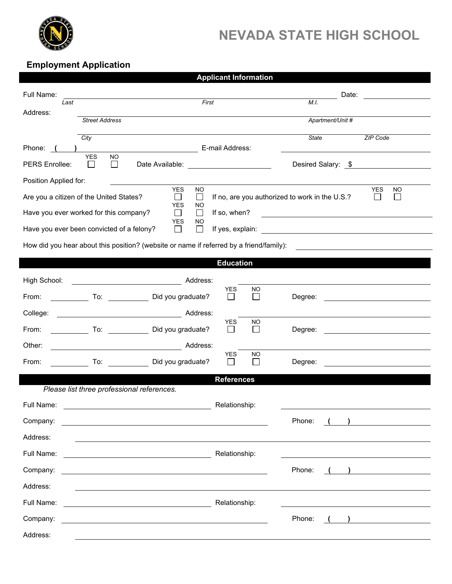

## **NEVADA STATE HIGH SCHOOL**

## **Employment Application**

| <b>Applicant Information</b>                                                                                                                                                                                |                                                                                                                                                                                                                                                |                                   |                  |                                                           |  |  |  |  |  |  |
|-------------------------------------------------------------------------------------------------------------------------------------------------------------------------------------------------------------|------------------------------------------------------------------------------------------------------------------------------------------------------------------------------------------------------------------------------------------------|-----------------------------------|------------------|-----------------------------------------------------------|--|--|--|--|--|--|
| Full Name:                                                                                                                                                                                                  |                                                                                                                                                                                                                                                |                                   | Date:            |                                                           |  |  |  |  |  |  |
| Last<br>Address:                                                                                                                                                                                            |                                                                                                                                                                                                                                                | First                             | M.I.             |                                                           |  |  |  |  |  |  |
|                                                                                                                                                                                                             | <b>Street Address</b>                                                                                                                                                                                                                          |                                   | Apartment/Unit # |                                                           |  |  |  |  |  |  |
|                                                                                                                                                                                                             | City                                                                                                                                                                                                                                           |                                   | State            | ZIP Code                                                  |  |  |  |  |  |  |
| Phone: (                                                                                                                                                                                                    | <b>YES</b><br><b>NO</b>                                                                                                                                                                                                                        | E-mail Address:                   |                  |                                                           |  |  |  |  |  |  |
| PERS Enrollee:                                                                                                                                                                                              | $\Box$<br>Date Available: <u>New York and the Base of the Base of the Base of the Base of the Base of the Base of the Base of the Base of the Base of the Base of the Base of the Base of the Base of the Base of the Base of the Base of </u> | Desired Salary: \$                |                  |                                                           |  |  |  |  |  |  |
| Position Applied for:                                                                                                                                                                                       |                                                                                                                                                                                                                                                |                                   |                  |                                                           |  |  |  |  |  |  |
| <b>YES</b><br><b>NO</b><br><b>YES</b><br>NO<br>If no, are you authorized to work in the U.S.?<br>Are you a citizen of the United States?<br>$\mathbf{I}$<br>$\mathcal{L}_{\mathcal{A}}$<br>YES<br><b>NO</b> |                                                                                                                                                                                                                                                |                                   |                  |                                                           |  |  |  |  |  |  |
| Have you ever worked for this company?<br>$\Box$<br>If so, when?<br><u> 1980 - Johann Stoff, fransk politik (d. 1980)</u><br><b>YES</b><br>NO                                                               |                                                                                                                                                                                                                                                |                                   |                  |                                                           |  |  |  |  |  |  |
| Have you ever been convicted of a felony?<br>$\Box$<br>If yes, explain:<br><u> 1989 - Johann Harry Barn, mars and de Branch and de Branch and de Branch and de Branch and de Branch and de B</u>            |                                                                                                                                                                                                                                                |                                   |                  |                                                           |  |  |  |  |  |  |
| How did you hear about this position? (website or name if referred by a friend/family):                                                                                                                     |                                                                                                                                                                                                                                                |                                   |                  |                                                           |  |  |  |  |  |  |
|                                                                                                                                                                                                             |                                                                                                                                                                                                                                                | <b>Education</b>                  |                  |                                                           |  |  |  |  |  |  |
| High School:                                                                                                                                                                                                | <u> 1980 - Johann Barbara, martxa a</u>                                                                                                                                                                                                        | Address:                          |                  |                                                           |  |  |  |  |  |  |
| From:                                                                                                                                                                                                       | To: Did you graduate?                                                                                                                                                                                                                          | <b>YES</b><br><b>NO</b><br>$\sim$ | Degree:          |                                                           |  |  |  |  |  |  |
| College:                                                                                                                                                                                                    | Address:                                                                                                                                                                                                                                       |                                   |                  |                                                           |  |  |  |  |  |  |
| From:                                                                                                                                                                                                       | Did you graduate?                                                                                                                                                                                                                              | <b>YES</b><br>ΝO                  | Degree:          |                                                           |  |  |  |  |  |  |
| Other:                                                                                                                                                                                                      |                                                                                                                                                                                                                                                | Address:                          |                  |                                                           |  |  |  |  |  |  |
| From:                                                                                                                                                                                                       | To: Did you graduate?                                                                                                                                                                                                                          | <b>YES</b><br><b>NO</b>           | Degree:          |                                                           |  |  |  |  |  |  |
| <b>References</b>                                                                                                                                                                                           |                                                                                                                                                                                                                                                |                                   |                  |                                                           |  |  |  |  |  |  |
|                                                                                                                                                                                                             | Please list three professional references.                                                                                                                                                                                                     |                                   |                  |                                                           |  |  |  |  |  |  |
| Full Name:                                                                                                                                                                                                  | <u> 1980 - Johann Barn, amerikan personal (</u>                                                                                                                                                                                                | Relationship:                     |                  |                                                           |  |  |  |  |  |  |
| Company:                                                                                                                                                                                                    |                                                                                                                                                                                                                                                |                                   | Phone:           |                                                           |  |  |  |  |  |  |
| Address:                                                                                                                                                                                                    |                                                                                                                                                                                                                                                |                                   |                  |                                                           |  |  |  |  |  |  |
| Full Name:                                                                                                                                                                                                  | Relationship:<br><u> 1980 - Johann Barbara, martin amerikan basar da</u>                                                                                                                                                                       |                                   |                  |                                                           |  |  |  |  |  |  |
| Company:                                                                                                                                                                                                    |                                                                                                                                                                                                                                                |                                   | Phone:           |                                                           |  |  |  |  |  |  |
| Address:                                                                                                                                                                                                    |                                                                                                                                                                                                                                                |                                   |                  |                                                           |  |  |  |  |  |  |
| Full Name:                                                                                                                                                                                                  |                                                                                                                                                                                                                                                | Relationship:                     |                  |                                                           |  |  |  |  |  |  |
| Company:                                                                                                                                                                                                    |                                                                                                                                                                                                                                                |                                   | Phone:           | <u> 1980 - Andrea Station Books, amerikansk politik (</u> |  |  |  |  |  |  |
| Address:                                                                                                                                                                                                    |                                                                                                                                                                                                                                                |                                   |                  |                                                           |  |  |  |  |  |  |